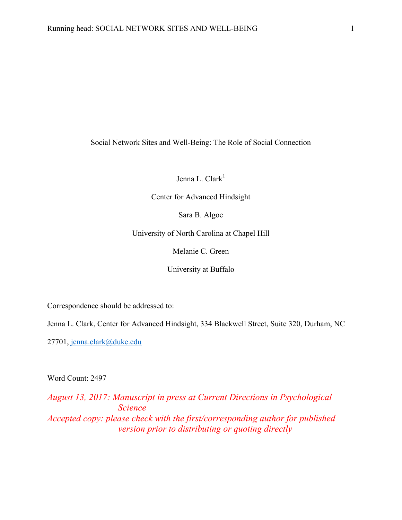Social Network Sites and Well-Being: The Role of Social Connection

Jenna L. Clark $<sup>1</sup>$ </sup>

Center for Advanced Hindsight

Sara B. Algoe

University of North Carolina at Chapel Hill

Melanie C. Green

University at Buffalo

Correspondence should be addressed to:

Jenna L. Clark, Center for Advanced Hindsight, 334 Blackwell Street, Suite 320, Durham, NC

27701, jenna.clark@duke.edu

Word Count: 2497

*August 13, 2017: Manuscript in press at Current Directions in Psychological Science Accepted copy: please check with the first/corresponding author for published version prior to distributing or quoting directly*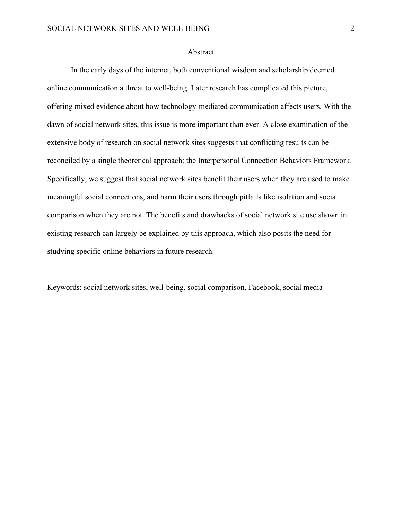### Abstract

In the early days of the internet, both conventional wisdom and scholarship deemed online communication a threat to well-being. Later research has complicated this picture, offering mixed evidence about how technology-mediated communication affects users. With the dawn of social network sites, this issue is more important than ever. A close examination of the extensive body of research on social network sites suggests that conflicting results can be reconciled by a single theoretical approach: the Interpersonal Connection Behaviors Framework. Specifically, we suggest that social network sites benefit their users when they are used to make meaningful social connections, and harm their users through pitfalls like isolation and social comparison when they are not. The benefits and drawbacks of social network site use shown in existing research can largely be explained by this approach, which also posits the need for studying specific online behaviors in future research.

Keywords: social network sites, well-being, social comparison, Facebook, social media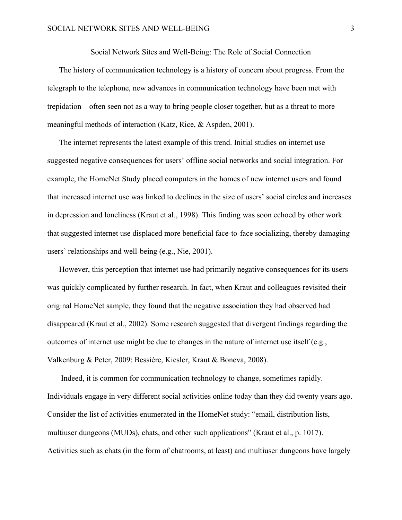Social Network Sites and Well-Being: The Role of Social Connection

The history of communication technology is a history of concern about progress. From the telegraph to the telephone, new advances in communication technology have been met with trepidation – often seen not as a way to bring people closer together, but as a threat to more meaningful methods of interaction (Katz, Rice, & Aspden, 2001).

The internet represents the latest example of this trend. Initial studies on internet use suggested negative consequences for users' offline social networks and social integration. For example, the HomeNet Study placed computers in the homes of new internet users and found that increased internet use was linked to declines in the size of users' social circles and increases in depression and loneliness (Kraut et al., 1998). This finding was soon echoed by other work that suggested internet use displaced more beneficial face-to-face socializing, thereby damaging users' relationships and well-being (e.g., Nie, 2001).

However, this perception that internet use had primarily negative consequences for its users was quickly complicated by further research. In fact, when Kraut and colleagues revisited their original HomeNet sample, they found that the negative association they had observed had disappeared (Kraut et al., 2002). Some research suggested that divergent findings regarding the outcomes of internet use might be due to changes in the nature of internet use itself (e.g., Valkenburg & Peter, 2009; Bessière, Kiesler, Kraut & Boneva, 2008).

Indeed, it is common for communication technology to change, sometimes rapidly. Individuals engage in very different social activities online today than they did twenty years ago. Consider the list of activities enumerated in the HomeNet study: "email, distribution lists, multiuser dungeons (MUDs), chats, and other such applications" (Kraut et al., p. 1017). Activities such as chats (in the form of chatrooms, at least) and multiuser dungeons have largely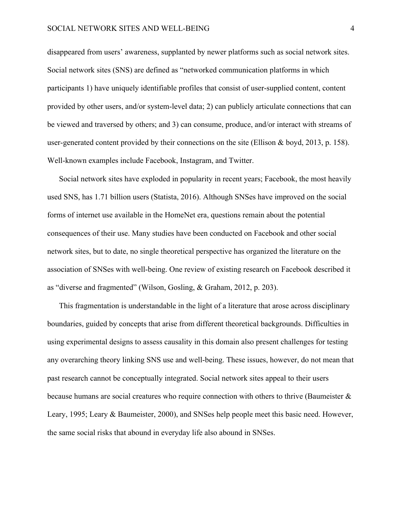disappeared from users' awareness, supplanted by newer platforms such as social network sites. Social network sites (SNS) are defined as "networked communication platforms in which participants 1) have uniquely identifiable profiles that consist of user-supplied content, content provided by other users, and/or system-level data; 2) can publicly articulate connections that can be viewed and traversed by others; and 3) can consume, produce, and/or interact with streams of user-generated content provided by their connections on the site (Ellison & boyd, 2013, p. 158). Well-known examples include Facebook, Instagram, and Twitter.

Social network sites have exploded in popularity in recent years; Facebook, the most heavily used SNS, has 1.71 billion users (Statista, 2016). Although SNSes have improved on the social forms of internet use available in the HomeNet era, questions remain about the potential consequences of their use. Many studies have been conducted on Facebook and other social network sites, but to date, no single theoretical perspective has organized the literature on the association of SNSes with well-being. One review of existing research on Facebook described it as "diverse and fragmented" (Wilson, Gosling, & Graham, 2012, p. 203).

This fragmentation is understandable in the light of a literature that arose across disciplinary boundaries, guided by concepts that arise from different theoretical backgrounds. Difficulties in using experimental designs to assess causality in this domain also present challenges for testing any overarching theory linking SNS use and well-being. These issues, however, do not mean that past research cannot be conceptually integrated. Social network sites appeal to their users because humans are social creatures who require connection with others to thrive (Baumeister & Leary, 1995; Leary & Baumeister, 2000), and SNSes help people meet this basic need. However, the same social risks that abound in everyday life also abound in SNSes.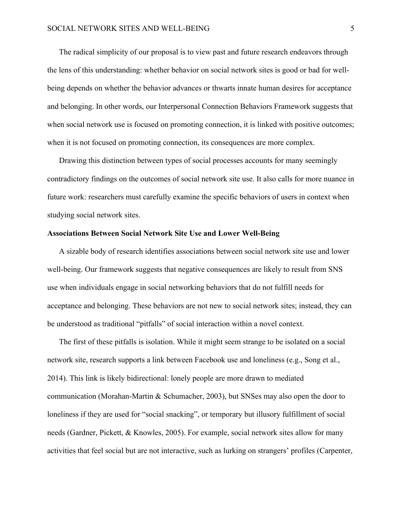The radical simplicity of our proposal is to view past and future research endeavors through the lens of this understanding: whether behavior on social network sites is good or bad for wellbeing depends on whether the behavior advances or thwarts innate human desires for acceptance and belonging. In other words, our Interpersonal Connection Behaviors Framework suggests that when social network use is focused on promoting connection, it is linked with positive outcomes; when it is not focused on promoting connection, its consequences are more complex.

Drawing this distinction between types of social processes accounts for many seemingly contradictory findings on the outcomes of social network site use. It also calls for more nuance in future work: researchers must carefully examine the specific behaviors of users in context when studying social network sites.

#### **Associations Between Social Network Site Use and Lower Well-Being**

A sizable body of research identifies associations between social network site use and lower well-being. Our framework suggests that negative consequences are likely to result from SNS use when individuals engage in social networking behaviors that do not fulfill needs for acceptance and belonging. These behaviors are not new to social network sites; instead, they can be understood as traditional "pitfalls" of social interaction within a novel context.

The first of these pitfalls is isolation. While it might seem strange to be isolated on a social network site, research supports a link between Facebook use and loneliness (e.g., Song et al., 2014). This link is likely bidirectional: lonely people are more drawn to mediated communication (Morahan-Martin & Schumacher, 2003), but SNSes may also open the door to loneliness if they are used for "social snacking", or temporary but illusory fulfillment of social needs (Gardner, Pickett, & Knowles, 2005). For example, social network sites allow for many activities that feel social but are not interactive, such as lurking on strangers' profiles (Carpenter,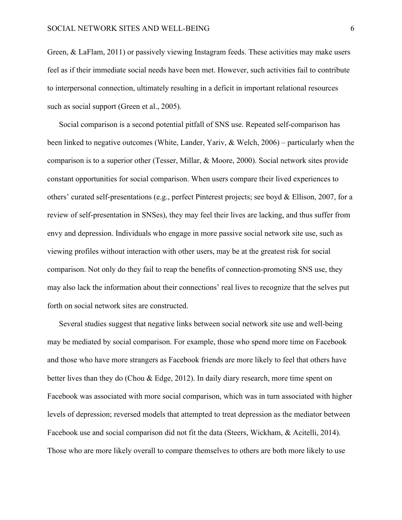Green, & LaFlam, 2011) or passively viewing Instagram feeds. These activities may make users feel as if their immediate social needs have been met. However, such activities fail to contribute to interpersonal connection, ultimately resulting in a deficit in important relational resources such as social support (Green et al., 2005).

Social comparison is a second potential pitfall of SNS use. Repeated self-comparison has been linked to negative outcomes (White, Lander, Yariv, & Welch, 2006) – particularly when the comparison is to a superior other (Tesser, Millar, & Moore, 2000). Social network sites provide constant opportunities for social comparison. When users compare their lived experiences to others' curated self-presentations (e.g., perfect Pinterest projects; see boyd & Ellison, 2007, for a review of self-presentation in SNSes), they may feel their lives are lacking, and thus suffer from envy and depression. Individuals who engage in more passive social network site use, such as viewing profiles without interaction with other users, may be at the greatest risk for social comparison. Not only do they fail to reap the benefits of connection-promoting SNS use, they may also lack the information about their connections' real lives to recognize that the selves put forth on social network sites are constructed.

Several studies suggest that negative links between social network site use and well-being may be mediated by social comparison. For example, those who spend more time on Facebook and those who have more strangers as Facebook friends are more likely to feel that others have better lives than they do (Chou & Edge, 2012). In daily diary research, more time spent on Facebook was associated with more social comparison, which was in turn associated with higher levels of depression; reversed models that attempted to treat depression as the mediator between Facebook use and social comparison did not fit the data (Steers, Wickham, & Acitelli, 2014). Those who are more likely overall to compare themselves to others are both more likely to use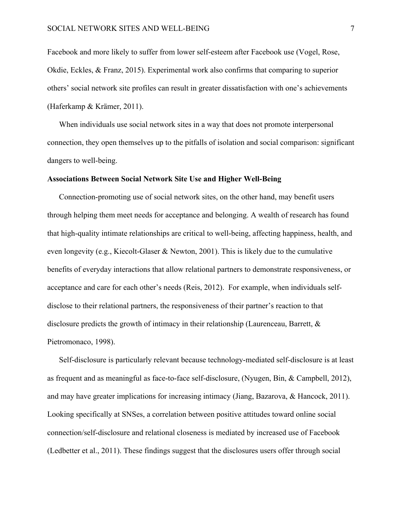Facebook and more likely to suffer from lower self-esteem after Facebook use (Vogel, Rose, Okdie, Eckles, & Franz, 2015). Experimental work also confirms that comparing to superior others' social network site profiles can result in greater dissatisfaction with one's achievements (Haferkamp & Krämer, 2011).

When individuals use social network sites in a way that does not promote interpersonal connection, they open themselves up to the pitfalls of isolation and social comparison: significant dangers to well-being.

# **Associations Between Social Network Site Use and Higher Well-Being**

Connection-promoting use of social network sites, on the other hand, may benefit users through helping them meet needs for acceptance and belonging. A wealth of research has found that high-quality intimate relationships are critical to well-being, affecting happiness, health, and even longevity (e.g., Kiecolt-Glaser & Newton, 2001). This is likely due to the cumulative benefits of everyday interactions that allow relational partners to demonstrate responsiveness, or acceptance and care for each other's needs (Reis, 2012). For example, when individuals selfdisclose to their relational partners, the responsiveness of their partner's reaction to that disclosure predicts the growth of intimacy in their relationship (Laurenceau, Barrett,  $\&$ Pietromonaco, 1998).

Self-disclosure is particularly relevant because technology-mediated self-disclosure is at least as frequent and as meaningful as face-to-face self-disclosure, (Nyugen, Bin, & Campbell, 2012), and may have greater implications for increasing intimacy (Jiang, Bazarova, & Hancock, 2011). Looking specifically at SNSes, a correlation between positive attitudes toward online social connection/self-disclosure and relational closeness is mediated by increased use of Facebook (Ledbetter et al., 2011). These findings suggest that the disclosures users offer through social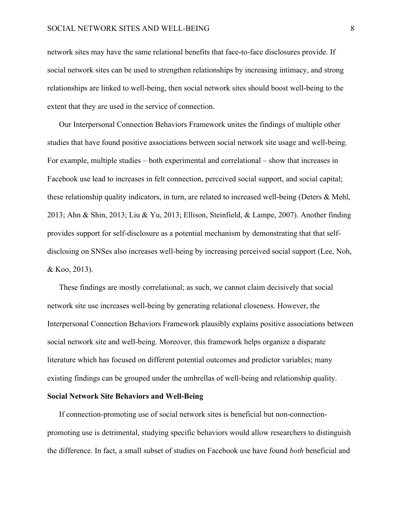network sites may have the same relational benefits that face-to-face disclosures provide. If social network sites can be used to strengthen relationships by increasing intimacy, and strong relationships are linked to well-being, then social network sites should boost well-being to the extent that they are used in the service of connection.

Our Interpersonal Connection Behaviors Framework unites the findings of multiple other studies that have found positive associations between social network site usage and well-being. For example, multiple studies – both experimental and correlational – show that increases in Facebook use lead to increases in felt connection, perceived social support, and social capital; these relationship quality indicators, in turn, are related to increased well-being (Deters & Mehl, 2013; Ahn & Shin, 2013; Liu & Yu, 2013; Ellison, Steinfield, & Lampe, 2007). Another finding provides support for self-disclosure as a potential mechanism by demonstrating that that selfdisclosing on SNSes also increases well-being by increasing perceived social support (Lee, Noh, & Koo, 2013).

These findings are mostly correlational; as such, we cannot claim decisively that social network site use increases well-being by generating relational closeness. However, the Interpersonal Connection Behaviors Framework plausibly explains positive associations between social network site and well-being. Moreover, this framework helps organize a disparate literature which has focused on different potential outcomes and predictor variables; many existing findings can be grouped under the umbrellas of well-being and relationship quality.

# **Social Network Site Behaviors and Well-Being**

If connection-promoting use of social network sites is beneficial but non-connectionpromoting use is detrimental, studying specific behaviors would allow researchers to distinguish the difference. In fact, a small subset of studies on Facebook use have found *both* beneficial and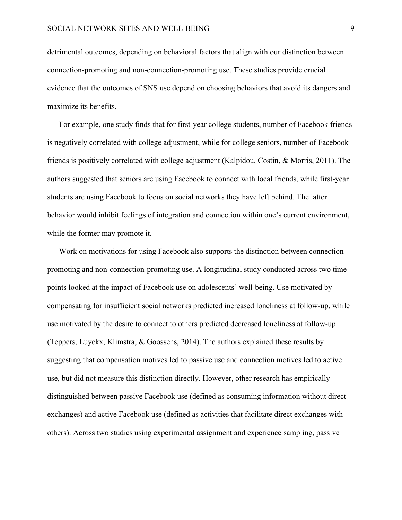detrimental outcomes, depending on behavioral factors that align with our distinction between connection-promoting and non-connection-promoting use. These studies provide crucial evidence that the outcomes of SNS use depend on choosing behaviors that avoid its dangers and maximize its benefits.

For example, one study finds that for first-year college students, number of Facebook friends is negatively correlated with college adjustment, while for college seniors, number of Facebook friends is positively correlated with college adjustment (Kalpidou, Costin, & Morris, 2011). The authors suggested that seniors are using Facebook to connect with local friends, while first-year students are using Facebook to focus on social networks they have left behind. The latter behavior would inhibit feelings of integration and connection within one's current environment, while the former may promote it.

Work on motivations for using Facebook also supports the distinction between connectionpromoting and non-connection-promoting use. A longitudinal study conducted across two time points looked at the impact of Facebook use on adolescents' well-being. Use motivated by compensating for insufficient social networks predicted increased loneliness at follow-up, while use motivated by the desire to connect to others predicted decreased loneliness at follow-up (Teppers, Luyckx, Klimstra, & Goossens, 2014). The authors explained these results by suggesting that compensation motives led to passive use and connection motives led to active use, but did not measure this distinction directly. However, other research has empirically distinguished between passive Facebook use (defined as consuming information without direct exchanges) and active Facebook use (defined as activities that facilitate direct exchanges with others). Across two studies using experimental assignment and experience sampling, passive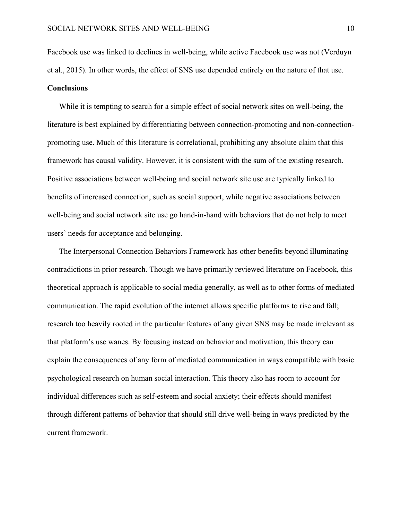Facebook use was linked to declines in well-being, while active Facebook use was not (Verduyn et al., 2015). In other words, the effect of SNS use depended entirely on the nature of that use. **Conclusions**

# While it is tempting to search for a simple effect of social network sites on well-being, the literature is best explained by differentiating between connection-promoting and non-connectionpromoting use. Much of this literature is correlational, prohibiting any absolute claim that this framework has causal validity. However, it is consistent with the sum of the existing research. Positive associations between well-being and social network site use are typically linked to benefits of increased connection, such as social support, while negative associations between well-being and social network site use go hand-in-hand with behaviors that do not help to meet users' needs for acceptance and belonging.

The Interpersonal Connection Behaviors Framework has other benefits beyond illuminating contradictions in prior research. Though we have primarily reviewed literature on Facebook, this theoretical approach is applicable to social media generally, as well as to other forms of mediated communication. The rapid evolution of the internet allows specific platforms to rise and fall; research too heavily rooted in the particular features of any given SNS may be made irrelevant as that platform's use wanes. By focusing instead on behavior and motivation, this theory can explain the consequences of any form of mediated communication in ways compatible with basic psychological research on human social interaction. This theory also has room to account for individual differences such as self-esteem and social anxiety; their effects should manifest through different patterns of behavior that should still drive well-being in ways predicted by the current framework.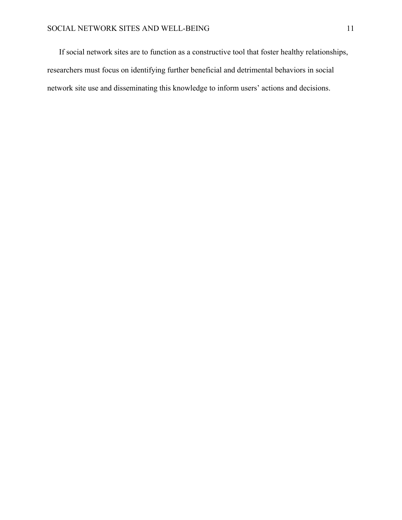If social network sites are to function as a constructive tool that foster healthy relationships, researchers must focus on identifying further beneficial and detrimental behaviors in social network site use and disseminating this knowledge to inform users' actions and decisions.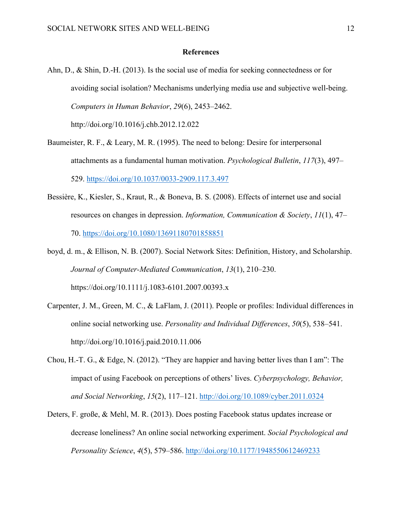### **References**

- Ahn, D., & Shin, D.-H. (2013). Is the social use of media for seeking connectedness or for avoiding social isolation? Mechanisms underlying media use and subjective well-being. *Computers in Human Behavior*, *29*(6), 2453–2462. http://doi.org/10.1016/j.chb.2012.12.022
- Baumeister, R. F., & Leary, M. R. (1995). The need to belong: Desire for interpersonal attachments as a fundamental human motivation. *Psychological Bulletin*, *117*(3), 497– 529. https://doi.org/10.1037/0033-2909.117.3.497
- Bessière, K., Kiesler, S., Kraut, R., & Boneva, B. S. (2008). Effects of internet use and social resources on changes in depression. *Information, Communication & Society*, *11*(1), 47– 70. https://doi.org/10.1080/13691180701858851
- boyd, d. m., & Ellison, N. B. (2007). Social Network Sites: Definition, History, and Scholarship. *Journal of Computer-Mediated Communication*, *13*(1), 210–230. https://doi.org/10.1111/j.1083-6101.2007.00393.x
- Carpenter, J. M., Green, M. C., & LaFlam, J. (2011). People or profiles: Individual differences in online social networking use. *Personality and Individual Differences*, *50*(5), 538–541. http://doi.org/10.1016/j.paid.2010.11.006
- Chou, H.-T. G., & Edge, N. (2012). "They are happier and having better lives than I am": The impact of using Facebook on perceptions of others' lives. *Cyberpsychology, Behavior, and Social Networking*, *15*(2), 117–121. http://doi.org/10.1089/cyber.2011.0324
- Deters, F. große, & Mehl, M. R. (2013). Does posting Facebook status updates increase or decrease loneliness? An online social networking experiment. *Social Psychological and Personality Science*, *4*(5), 579–586. http://doi.org/10.1177/1948550612469233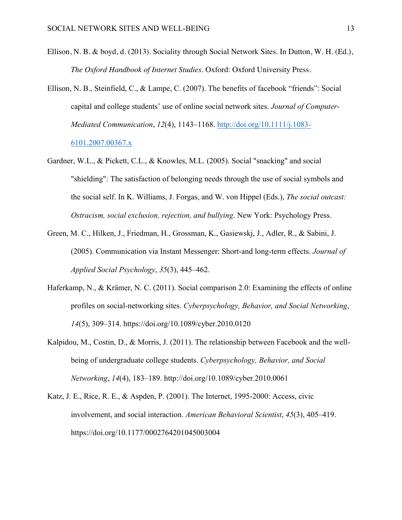- Ellison, N. B. & boyd, d. (2013). Sociality through Social Network Sites. In Dutton, W. H. (Ed.), *The Oxford Handbook of Internet Studies.* Oxford: Oxford University Press.
- Ellison, N. B., Steinfield, C., & Lampe, C. (2007). The benefits of facebook "friends": Social capital and college students' use of online social network sites. *Journal of Computer-Mediated Communication*, *12*(4), 1143–1168. http://doi.org/10.1111/j.1083- 6101.2007.00367.x
- Gardner, W.L., & Pickett, C.L., & Knowles, M.L. (2005). Social "snacking" and social "shielding": The satisfaction of belonging needs through the use of social symbols and the social self. In K. Williams, J. Forgas, and W. von Hippel (Eds.), *The social outcast: Ostracism, social exclusion, rejection, and bullying*. New York: Psychology Press.
- Green, M. C., Hilken, J., Friedman, H., Grossman, K., Gasiewskj, J., Adler, R., & Sabini, J. (2005). Communication via Instant Messenger: Short-and long-term effects. *Journal of Applied Social Psychology*, *35*(3), 445–462.
- Haferkamp, N., & Krämer, N. C. (2011). Social comparison 2.0: Examining the effects of online profiles on social-networking sites. *Cyberpsychology, Behavior, and Social Networking*, *14*(5), 309–314. https://doi.org/10.1089/cyber.2010.0120
- Kalpidou, M., Costin, D., & Morris, J. (2011). The relationship between Facebook and the wellbeing of undergraduate college students. *Cyberpsychology, Behavior, and Social Networking*, *14*(4), 183–189. http://doi.org/10.1089/cyber.2010.0061
- Katz, J. E., Rice, R. E., & Aspden, P. (2001). The Internet, 1995-2000: Access, civic involvement, and social interaction. *American Behavioral Scientist*, *45*(3), 405–419. https://doi.org/10.1177/0002764201045003004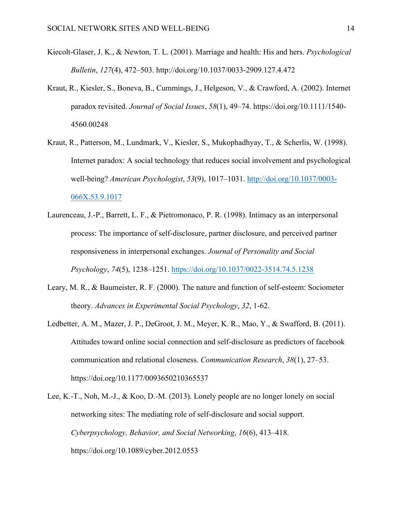- Kiecolt-Glaser, J. K., & Newton, T. L. (2001). Marriage and health: His and hers. *Psychological Bulletin*, *127*(4), 472–503. http://doi.org/10.1037/0033-2909.127.4.472
- Kraut, R., Kiesler, S., Boneva, B., Cummings, J., Helgeson, V., & Crawford, A. (2002). Internet paradox revisited. *Journal of Social Issues*, *58*(1), 49–74. https://doi.org/10.1111/1540- 4560.00248
- Kraut, R., Patterson, M., Lundmark, V., Kiesler, S., Mukophadhyay, T., & Scherlis, W. (1998). Internet paradox: A social technology that reduces social involvement and psychological well-being? *American Psychologist*, *53*(9), 1017–1031. http://doi.org/10.1037/0003- 066X.53.9.1017
- Laurenceau, J.-P., Barrett, L. F., & Pietromonaco, P. R. (1998). Intimacy as an interpersonal process: The importance of self-disclosure, partner disclosure, and perceived partner responsiveness in interpersonal exchanges. *Journal of Personality and Social Psychology*, *74*(5), 1238–1251. https://doi.org/10.1037/0022-3514.74.5.1238
- Leary, M. R., & Baumeister, R. F. (2000). The nature and function of self-esteem: Sociometer theory. *Advances in Experimental Social Psychology*, *32*, 1-62.
- Ledbetter, A. M., Mazer, J. P., DeGroot, J. M., Meyer, K. R., Mao, Y., & Swafford, B. (2011). Attitudes toward online social connection and self-disclosure as predictors of facebook communication and relational closeness. *Communication Research*, *38*(1), 27–53. https://doi.org/10.1177/0093650210365537
- Lee, K.-T., Noh, M.-J., & Koo, D.-M. (2013). Lonely people are no longer lonely on social networking sites: The mediating role of self-disclosure and social support. *Cyberpsychology, Behavior, and Social Networking*, *16*(6), 413–418. https://doi.org/10.1089/cyber.2012.0553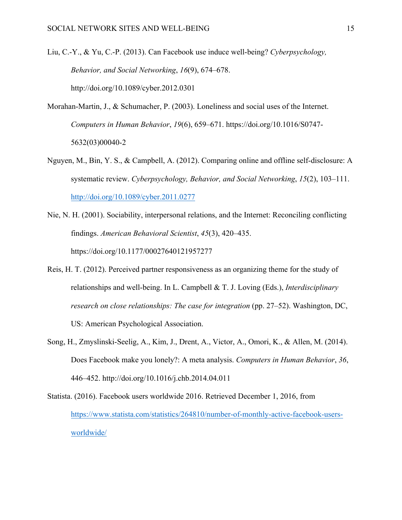Liu, C.-Y., & Yu, C.-P. (2013). Can Facebook use induce well-being? *Cyberpsychology, Behavior, and Social Networking*, *16*(9), 674–678. http://doi.org/10.1089/cyber.2012.0301

- Morahan-Martin, J., & Schumacher, P. (2003). Loneliness and social uses of the Internet. *Computers in Human Behavior*, *19*(6), 659–671. https://doi.org/10.1016/S0747- 5632(03)00040-2
- Nguyen, M., Bin, Y. S., & Campbell, A. (2012). Comparing online and offline self-disclosure: A systematic review. *Cyberpsychology, Behavior, and Social Networking*, *15*(2), 103–111. http://doi.org/10.1089/cyber.2011.0277
- Nie, N. H. (2001). Sociability, interpersonal relations, and the Internet: Reconciling conflicting findings. *American Behavioral Scientist*, *45*(3), 420–435. https://doi.org/10.1177/00027640121957277
- Reis, H. T. (2012). Perceived partner responsiveness as an organizing theme for the study of relationships and well-being. In L. Campbell & T. J. Loving (Eds.), *Interdisciplinary research on close relationships: The case for integration* (pp. 27–52). Washington, DC, US: American Psychological Association.
- Song, H., Zmyslinski-Seelig, A., Kim, J., Drent, A., Victor, A., Omori, K., & Allen, M. (2014). Does Facebook make you lonely?: A meta analysis. *Computers in Human Behavior*, *36*, 446–452. http://doi.org/10.1016/j.chb.2014.04.011

Statista. (2016). Facebook users worldwide 2016. Retrieved December 1, 2016, from https://www.statista.com/statistics/264810/number-of-monthly-active-facebook-usersworldwide/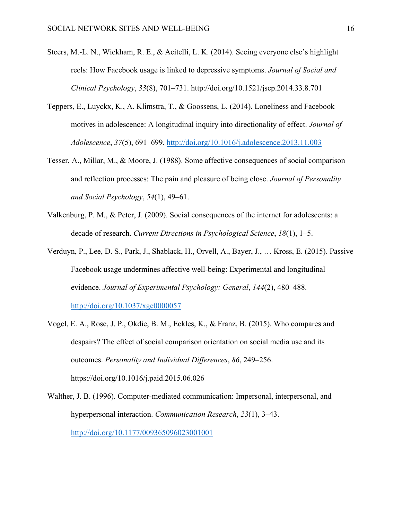- Steers, M.-L. N., Wickham, R. E., & Acitelli, L. K. (2014). Seeing everyone else's highlight reels: How Facebook usage is linked to depressive symptoms. *Journal of Social and Clinical Psychology*, *33*(8), 701–731. http://doi.org/10.1521/jscp.2014.33.8.701
- Teppers, E., Luyckx, K., A. Klimstra, T., & Goossens, L. (2014). Loneliness and Facebook motives in adolescence: A longitudinal inquiry into directionality of effect. *Journal of Adolescence*, *37*(5), 691–699. http://doi.org/10.1016/j.adolescence.2013.11.003
- Tesser, A., Millar, M., & Moore, J. (1988). Some affective consequences of social comparison and reflection processes: The pain and pleasure of being close. *Journal of Personality and Social Psychology*, *54*(1), 49–61.
- Valkenburg, P. M., & Peter, J. (2009). Social consequences of the internet for adolescents: a decade of research. *Current Directions in Psychological Science*, *18*(1), 1–5.
- Verduyn, P., Lee, D. S., Park, J., Shablack, H., Orvell, A., Bayer, J., … Kross, E. (2015). Passive Facebook usage undermines affective well-being: Experimental and longitudinal evidence. *Journal of Experimental Psychology: General*, *144*(2), 480–488. http://doi.org/10.1037/xge0000057
- Vogel, E. A., Rose, J. P., Okdie, B. M., Eckles, K., & Franz, B. (2015). Who compares and despairs? The effect of social comparison orientation on social media use and its outcomes. *Personality and Individual Differences*, *86*, 249–256. https://doi.org/10.1016/j.paid.2015.06.026
- Walther, J. B. (1996). Computer-mediated communication: Impersonal, interpersonal, and hyperpersonal interaction. *Communication Research*, *23*(1), 3–43. http://doi.org/10.1177/009365096023001001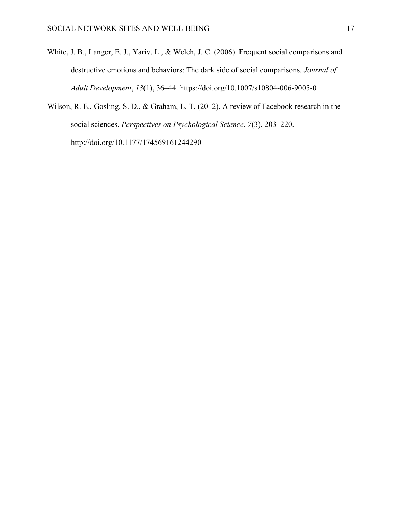- White, J. B., Langer, E. J., Yariv, L., & Welch, J. C. (2006). Frequent social comparisons and destructive emotions and behaviors: The dark side of social comparisons. *Journal of Adult Development*, *13*(1), 36–44. https://doi.org/10.1007/s10804-006-9005-0
- Wilson, R. E., Gosling, S. D., & Graham, L. T. (2012). A review of Facebook research in the social sciences. *Perspectives on Psychological Science*, *7*(3), 203–220. http://doi.org/10.1177/174569161244290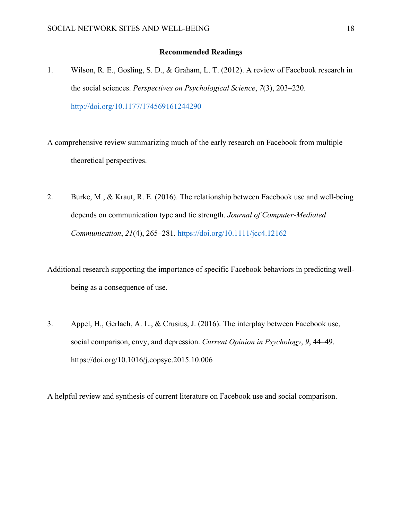## **Recommended Readings**

1. Wilson, R. E., Gosling, S. D., & Graham, L. T. (2012). A review of Facebook research in the social sciences. *Perspectives on Psychological Science*, *7*(3), 203–220. http://doi.org/10.1177/174569161244290

A comprehensive review summarizing much of the early research on Facebook from multiple theoretical perspectives.

2. Burke, M., & Kraut, R. E. (2016). The relationship between Facebook use and well-being depends on communication type and tie strength. *Journal of Computer-Mediated Communication*, *21*(4), 265–281. https://doi.org/10.1111/jcc4.12162

Additional research supporting the importance of specific Facebook behaviors in predicting wellbeing as a consequence of use.

3. Appel, H., Gerlach, A. L., & Crusius, J. (2016). The interplay between Facebook use, social comparison, envy, and depression. *Current Opinion in Psychology*, *9*, 44–49. https://doi.org/10.1016/j.copsyc.2015.10.006

A helpful review and synthesis of current literature on Facebook use and social comparison.